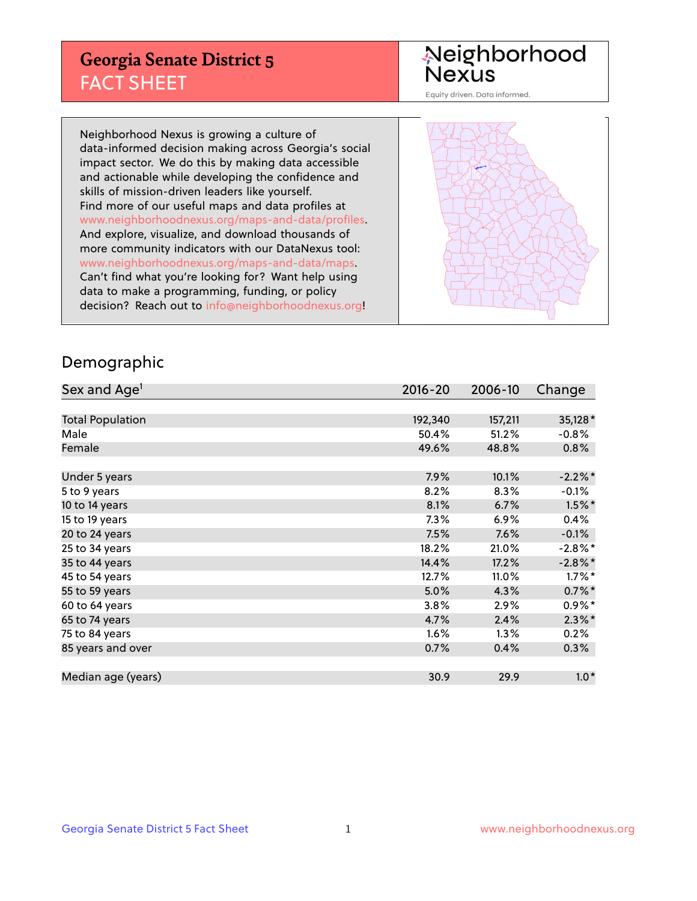## **Georgia Senate District 5** FACT SHEET

# Neighborhood<br>Nexus

Equity driven. Data informed.

Neighborhood Nexus is growing a culture of data-informed decision making across Georgia's social impact sector. We do this by making data accessible and actionable while developing the confidence and skills of mission-driven leaders like yourself. Find more of our useful maps and data profiles at www.neighborhoodnexus.org/maps-and-data/profiles. And explore, visualize, and download thousands of more community indicators with our DataNexus tool: www.neighborhoodnexus.org/maps-and-data/maps. Can't find what you're looking for? Want help using data to make a programming, funding, or policy decision? Reach out to [info@neighborhoodnexus.org!](mailto:info@neighborhoodnexus.org)



### Demographic

| Sex and Age <sup>1</sup> | $2016 - 20$ | 2006-10 | Change     |
|--------------------------|-------------|---------|------------|
|                          |             |         |            |
| <b>Total Population</b>  | 192,340     | 157,211 | 35,128*    |
| Male                     | 50.4%       | 51.2%   | $-0.8%$    |
| Female                   | 49.6%       | 48.8%   | 0.8%       |
|                          |             |         |            |
| Under 5 years            | 7.9%        | 10.1%   | $-2.2%$ *  |
| 5 to 9 years             | 8.2%        | 8.3%    | $-0.1%$    |
| 10 to 14 years           | 8.1%        | 6.7%    | $1.5\%$ *  |
| 15 to 19 years           | 7.3%        | 6.9%    | 0.4%       |
| 20 to 24 years           | 7.5%        | 7.6%    | $-0.1%$    |
| 25 to 34 years           | 18.2%       | 21.0%   | $-2.8\%$ * |
| 35 to 44 years           | 14.4%       | 17.2%   | $-2.8\%$ * |
| 45 to 54 years           | 12.7%       | 11.0%   | $1.7\%$ *  |
| 55 to 59 years           | 5.0%        | 4.3%    | $0.7\%$ *  |
| 60 to 64 years           | 3.8%        | 2.9%    | $0.9\%$ *  |
| 65 to 74 years           | 4.7%        | 2.4%    | $2.3\%$ *  |
| 75 to 84 years           | $1.6\%$     | 1.3%    | 0.2%       |
| 85 years and over        | 0.7%        | 0.4%    | 0.3%       |
|                          |             |         |            |
| Median age (years)       | 30.9        | 29.9    | $1.0*$     |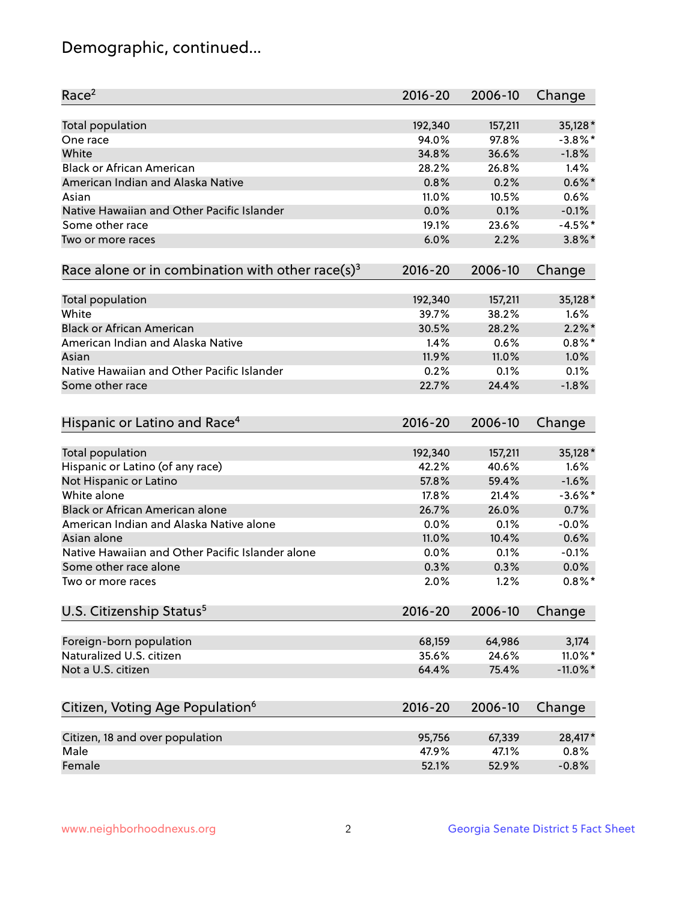## Demographic, continued...

| Race <sup>2</sup>                                            | $2016 - 20$     | 2006-10 | Change          |
|--------------------------------------------------------------|-----------------|---------|-----------------|
| <b>Total population</b>                                      | 192,340         | 157,211 | 35,128 *        |
| One race                                                     | 94.0%           | 97.8%   | $-3.8\%$ *      |
| White                                                        | 34.8%           | 36.6%   | $-1.8%$         |
| <b>Black or African American</b>                             | 28.2%           | 26.8%   | 1.4%            |
| American Indian and Alaska Native                            | 0.8%            | 0.2%    | $0.6\%$ *       |
| Asian                                                        | 11.0%           | 10.5%   | 0.6%            |
| Native Hawaiian and Other Pacific Islander                   | 0.0%            | 0.1%    | $-0.1%$         |
| Some other race                                              | 19.1%           | 23.6%   | $-4.5%$ *       |
| Two or more races                                            | 6.0%            | 2.2%    | $3.8\%$ *       |
| Race alone or in combination with other race(s) <sup>3</sup> | $2016 - 20$     | 2006-10 | Change          |
| Total population                                             | 192,340         | 157,211 | 35,128 *        |
| White                                                        | 39.7%           | 38.2%   | 1.6%            |
| <b>Black or African American</b>                             | 30.5%           | 28.2%   | $2.2\%$ *       |
| American Indian and Alaska Native                            | 1.4%            | 0.6%    | $0.8\%$ *       |
| Asian                                                        | 11.9%           | 11.0%   | 1.0%            |
| Native Hawaiian and Other Pacific Islander                   | 0.2%            | 0.1%    | 0.1%            |
|                                                              | 22.7%           | 24.4%   | $-1.8%$         |
| Some other race                                              |                 |         |                 |
| Hispanic or Latino and Race <sup>4</sup>                     | $2016 - 20$     | 2006-10 | Change          |
| <b>Total population</b>                                      | 192,340         | 157,211 | 35,128 *        |
| Hispanic or Latino (of any race)                             | 42.2%           | 40.6%   | 1.6%            |
| Not Hispanic or Latino                                       | 57.8%           | 59.4%   | $-1.6%$         |
| White alone                                                  | 17.8%           | 21.4%   | $-3.6\%$ *      |
| <b>Black or African American alone</b>                       | 26.7%           | 26.0%   | 0.7%            |
| American Indian and Alaska Native alone                      | 0.0%            | 0.1%    | $-0.0%$         |
| Asian alone                                                  | 11.0%           | 10.4%   | 0.6%            |
| Native Hawaiian and Other Pacific Islander alone             | 0.0%            | 0.1%    | $-0.1%$         |
| Some other race alone                                        | 0.3%            | 0.3%    | 0.0%            |
| Two or more races                                            | 2.0%            | 1.2%    | $0.8\%$ *       |
| U.S. Citizenship Status <sup>5</sup>                         | $2016 - 20$     | 2006-10 | Change          |
|                                                              |                 | 64,986  |                 |
| Foreign-born population<br>Naturalized U.S. citizen          | 68,159<br>35.6% | 24.6%   | 3,174<br>11.0%* |
|                                                              |                 |         |                 |
| Not a U.S. citizen                                           | 64.4%           | 75.4%   | $-11.0\%$ *     |
| Citizen, Voting Age Population <sup>6</sup>                  | $2016 - 20$     | 2006-10 | Change          |
| Citizen, 18 and over population                              | 95,756          | 67,339  | 28,417*         |
| Male                                                         | 47.9%           | 47.1%   | 0.8%            |
| Female                                                       | 52.1%           | 52.9%   | $-0.8%$         |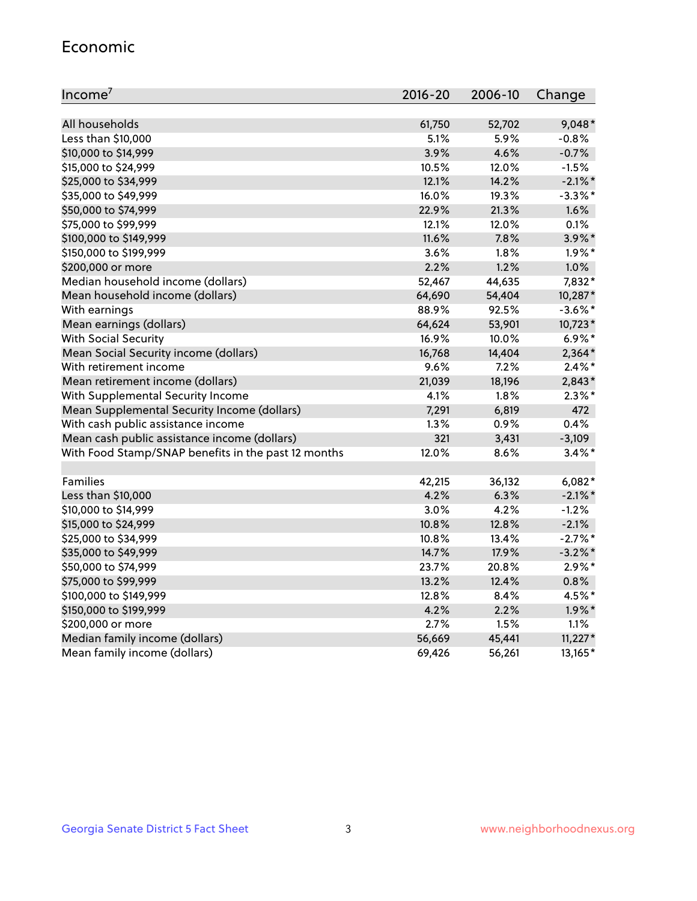#### Economic

| Income <sup>7</sup>                                 | $2016 - 20$ | 2006-10 | Change     |
|-----------------------------------------------------|-------------|---------|------------|
|                                                     |             |         |            |
| All households                                      | 61,750      | 52,702  | $9,048*$   |
| Less than \$10,000                                  | 5.1%        | 5.9%    | $-0.8%$    |
| \$10,000 to \$14,999                                | 3.9%        | 4.6%    | $-0.7%$    |
| \$15,000 to \$24,999                                | 10.5%       | 12.0%   | $-1.5%$    |
| \$25,000 to \$34,999                                | 12.1%       | 14.2%   | $-2.1\%$ * |
| \$35,000 to \$49,999                                | 16.0%       | 19.3%   | $-3.3\%$ * |
| \$50,000 to \$74,999                                | 22.9%       | 21.3%   | 1.6%       |
| \$75,000 to \$99,999                                | 12.1%       | 12.0%   | 0.1%       |
| \$100,000 to \$149,999                              | 11.6%       | 7.8%    | 3.9%*      |
| \$150,000 to \$199,999                              | 3.6%        | 1.8%    | $1.9\%$ *  |
| \$200,000 or more                                   | 2.2%        | 1.2%    | 1.0%       |
| Median household income (dollars)                   | 52,467      | 44,635  | 7,832*     |
| Mean household income (dollars)                     | 64,690      | 54,404  | 10,287*    |
| With earnings                                       | 88.9%       | 92.5%   | $-3.6\%$ * |
| Mean earnings (dollars)                             | 64,624      | 53,901  | 10,723*    |
| <b>With Social Security</b>                         | 16.9%       | 10.0%   | $6.9\%$ *  |
| Mean Social Security income (dollars)               | 16,768      | 14,404  | $2,364*$   |
| With retirement income                              | 9.6%        | 7.2%    | $2.4\%$ *  |
| Mean retirement income (dollars)                    | 21,039      | 18,196  | $2,843*$   |
| With Supplemental Security Income                   | 4.1%        | 1.8%    | $2.3\%$ *  |
| Mean Supplemental Security Income (dollars)         | 7,291       | 6,819   | 472        |
| With cash public assistance income                  | 1.3%        | 0.9%    | 0.4%       |
| Mean cash public assistance income (dollars)        | 321         | 3,431   | $-3,109$   |
| With Food Stamp/SNAP benefits in the past 12 months | 12.0%       | 8.6%    | $3.4\%$ *  |
|                                                     |             |         |            |
| Families                                            | 42,215      | 36,132  | $6,082*$   |
| Less than \$10,000                                  | 4.2%        | 6.3%    | $-2.1\%$ * |
| \$10,000 to \$14,999                                | 3.0%        | 4.2%    | $-1.2%$    |
| \$15,000 to \$24,999                                | 10.8%       | 12.8%   | $-2.1%$    |
| \$25,000 to \$34,999                                | 10.8%       | 13.4%   | $-2.7%$ *  |
| \$35,000 to \$49,999                                | 14.7%       | 17.9%   | $-3.2\%$ * |
| \$50,000 to \$74,999                                | 23.7%       | 20.8%   | $2.9\%*$   |
| \$75,000 to \$99,999                                | 13.2%       | 12.4%   | 0.8%       |
| \$100,000 to \$149,999                              | 12.8%       | 8.4%    | 4.5%*      |
| \$150,000 to \$199,999                              | 4.2%        | 2.2%    | $1.9\%$ *  |
| \$200,000 or more                                   | 2.7%        | 1.5%    | 1.1%       |
| Median family income (dollars)                      | 56,669      | 45,441  | $11,227*$  |
| Mean family income (dollars)                        | 69,426      | 56,261  | 13,165*    |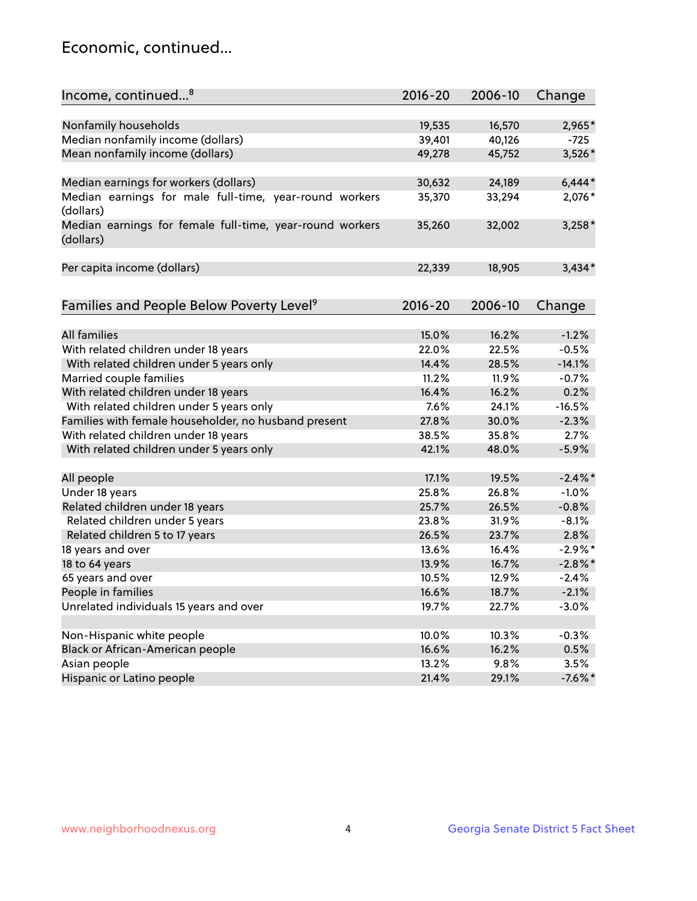## Economic, continued...

| Income, continued <sup>8</sup>                                        | $2016 - 20$ | 2006-10 | Change     |
|-----------------------------------------------------------------------|-------------|---------|------------|
|                                                                       |             |         |            |
| Nonfamily households                                                  | 19,535      | 16,570  | 2,965*     |
| Median nonfamily income (dollars)                                     | 39,401      | 40,126  | $-725$     |
| Mean nonfamily income (dollars)                                       | 49,278      | 45,752  | 3,526*     |
| Median earnings for workers (dollars)                                 | 30,632      | 24,189  | $6,444*$   |
| Median earnings for male full-time, year-round workers                | 35,370      | 33,294  | 2,076*     |
| (dollars)                                                             |             |         |            |
| Median earnings for female full-time, year-round workers<br>(dollars) | 35,260      | 32,002  | $3,258*$   |
| Per capita income (dollars)                                           | 22,339      | 18,905  | $3,434*$   |
|                                                                       |             |         |            |
| Families and People Below Poverty Level <sup>9</sup>                  | $2016 - 20$ | 2006-10 | Change     |
|                                                                       |             |         |            |
| <b>All families</b>                                                   | 15.0%       | 16.2%   | $-1.2%$    |
| With related children under 18 years                                  | 22.0%       | 22.5%   | $-0.5%$    |
| With related children under 5 years only                              | 14.4%       | 28.5%   | $-14.1%$   |
| Married couple families                                               | 11.2%       | 11.9%   | $-0.7%$    |
| With related children under 18 years                                  | 16.4%       | 16.2%   | 0.2%       |
| With related children under 5 years only                              | 7.6%        | 24.1%   | $-16.5%$   |
| Families with female householder, no husband present                  | 27.8%       | 30.0%   | $-2.3%$    |
| With related children under 18 years                                  | 38.5%       | 35.8%   | 2.7%       |
| With related children under 5 years only                              | 42.1%       | 48.0%   | $-5.9%$    |
|                                                                       |             |         |            |
| All people                                                            | 17.1%       | 19.5%   | $-2.4\%$   |
| Under 18 years                                                        | 25.8%       | 26.8%   | $-1.0%$    |
| Related children under 18 years                                       | 25.7%       | 26.5%   | $-0.8%$    |
| Related children under 5 years                                        | 23.8%       | 31.9%   | $-8.1%$    |
| Related children 5 to 17 years                                        | 26.5%       | 23.7%   | 2.8%       |
| 18 years and over                                                     | 13.6%       | 16.4%   | $-2.9\%$ * |
| 18 to 64 years                                                        | 13.9%       | 16.7%   | $-2.8\%$ * |
| 65 years and over                                                     | 10.5%       | 12.9%   | $-2.4%$    |
| People in families                                                    | 16.6%       | 18.7%   | $-2.1%$    |
| Unrelated individuals 15 years and over                               | 19.7%       | 22.7%   | $-3.0%$    |
|                                                                       |             |         |            |
| Non-Hispanic white people                                             | 10.0%       | 10.3%   | $-0.3%$    |
| Black or African-American people                                      | 16.6%       | 16.2%   | 0.5%       |
| Asian people                                                          | 13.2%       | 9.8%    | 3.5%       |
| Hispanic or Latino people                                             | 21.4%       | 29.1%   | $-7.6\%$ * |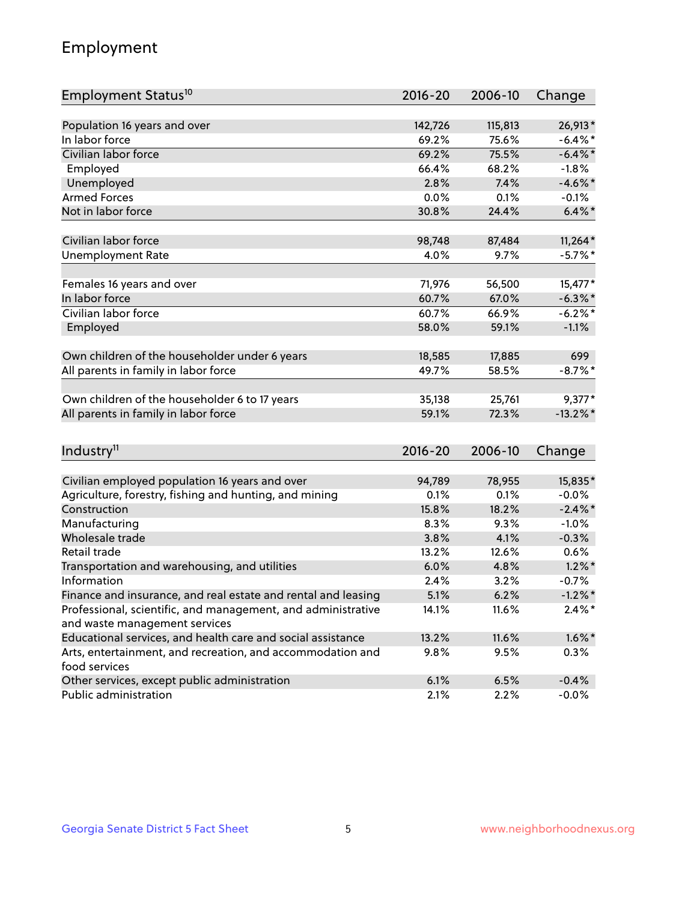## Employment

| Employment Status <sup>10</sup>                               | $2016 - 20$ | 2006-10 | Change      |
|---------------------------------------------------------------|-------------|---------|-------------|
|                                                               |             |         |             |
| Population 16 years and over                                  | 142,726     | 115,813 | 26,913*     |
| In labor force                                                | 69.2%       | 75.6%   | $-6.4\%$ *  |
| Civilian labor force                                          | 69.2%       | 75.5%   | $-6.4\%$ *  |
| Employed                                                      | 66.4%       | 68.2%   | $-1.8%$     |
| Unemployed                                                    | 2.8%        | 7.4%    | $-4.6\%$ *  |
| <b>Armed Forces</b>                                           | 0.0%        | 0.1%    | $-0.1%$     |
| Not in labor force                                            | 30.8%       | 24.4%   | $6.4\%$ *   |
| Civilian labor force                                          | 98,748      | 87,484  | $11,264*$   |
| <b>Unemployment Rate</b>                                      | 4.0%        | 9.7%    | $-5.7%$ *   |
|                                                               |             |         |             |
| Females 16 years and over                                     | 71,976      | 56,500  | 15,477*     |
| In labor force                                                | 60.7%       | 67.0%   | $-6.3\%$ *  |
| Civilian labor force                                          | 60.7%       | 66.9%   | $-6.2%$ *   |
| Employed                                                      | 58.0%       | 59.1%   | $-1.1%$     |
| Own children of the householder under 6 years                 | 18,585      | 17,885  | 699         |
| All parents in family in labor force                          | 49.7%       | 58.5%   | $-8.7\%$ *  |
|                                                               |             |         |             |
| Own children of the householder 6 to 17 years                 | 35,138      | 25,761  | $9,377*$    |
| All parents in family in labor force                          | 59.1%       | 72.3%   | $-13.2\%$ * |
|                                                               |             |         |             |
| Industry <sup>11</sup>                                        | 2016-20     | 2006-10 | Change      |
| Civilian employed population 16 years and over                | 94,789      | 78,955  | 15,835*     |
| Agriculture, forestry, fishing and hunting, and mining        | 0.1%        | 0.1%    | $-0.0%$     |
| Construction                                                  | 15.8%       | 18.2%   | $-2.4\%$ *  |
| Manufacturing                                                 | 8.3%        | 9.3%    | $-1.0%$     |
| Wholesale trade                                               | 3.8%        | 4.1%    | $-0.3%$     |
| Retail trade                                                  | 13.2%       | 12.6%   | 0.6%        |
| Transportation and warehousing, and utilities                 | 6.0%        | 4.8%    | $1.2\%$ *   |
| Information                                                   | 2.4%        | 3.2%    | $-0.7%$     |
| Finance and insurance, and real estate and rental and leasing | 5.1%        | 6.2%    | $-1.2\%$ *  |
| Professional, scientific, and management, and administrative  | 14.1%       | 11.6%   | $2.4\%$ *   |
| and waste management services                                 |             |         |             |
| Educational services, and health care and social assistance   | 13.2%       | 11.6%   | $1.6\%$ *   |
| Arts, entertainment, and recreation, and accommodation and    | $9.8\%$     | 9.5%    | 0.3%        |
| food services                                                 |             |         |             |
| Other services, except public administration                  | 6.1%        | 6.5%    | $-0.4%$     |
| Public administration                                         | 2.1%        | 2.2%    | $-0.0%$     |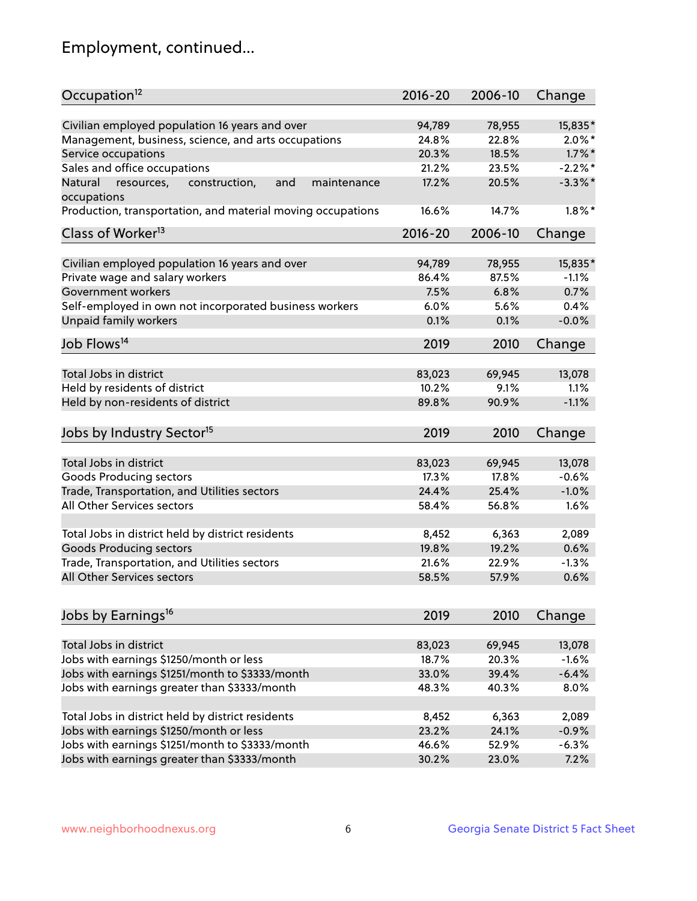## Employment, continued...

| Occupation <sup>12</sup>                                                    | $2016 - 20$ | 2006-10 | Change     |
|-----------------------------------------------------------------------------|-------------|---------|------------|
| Civilian employed population 16 years and over                              | 94,789      | 78,955  | 15,835*    |
| Management, business, science, and arts occupations                         | 24.8%       | 22.8%   | $2.0\%$ *  |
| Service occupations                                                         | 20.3%       | 18.5%   | $1.7\%$ *  |
| Sales and office occupations                                                | 21.2%       | 23.5%   | $-2.2\%$ * |
|                                                                             |             |         |            |
| and<br>Natural<br>resources,<br>construction,<br>maintenance<br>occupations | 17.2%       | 20.5%   | $-3.3\%$ * |
| Production, transportation, and material moving occupations                 | 16.6%       | 14.7%   | $1.8\%$ *  |
| Class of Worker <sup>13</sup>                                               | $2016 - 20$ | 2006-10 | Change     |
|                                                                             |             |         |            |
| Civilian employed population 16 years and over                              | 94,789      | 78,955  | 15,835*    |
| Private wage and salary workers                                             | 86.4%       | 87.5%   | $-1.1%$    |
| Government workers                                                          | 7.5%        | 6.8%    | 0.7%       |
| Self-employed in own not incorporated business workers                      | 6.0%        | 5.6%    | 0.4%       |
| Unpaid family workers                                                       | 0.1%        | 0.1%    | $-0.0%$    |
| Job Flows <sup>14</sup>                                                     | 2019        | 2010    | Change     |
|                                                                             |             |         |            |
| Total Jobs in district                                                      | 83,023      | 69,945  | 13,078     |
| Held by residents of district                                               | 10.2%       | 9.1%    | 1.1%       |
| Held by non-residents of district                                           | 89.8%       | 90.9%   | $-1.1%$    |
| Jobs by Industry Sector <sup>15</sup>                                       | 2019        | 2010    | Change     |
|                                                                             |             |         |            |
| Total Jobs in district                                                      | 83,023      | 69,945  | 13,078     |
| Goods Producing sectors                                                     | 17.3%       | 17.8%   | $-0.6%$    |
| Trade, Transportation, and Utilities sectors                                | 24.4%       | 25.4%   | $-1.0%$    |
| All Other Services sectors                                                  | 58.4%       | 56.8%   | 1.6%       |
|                                                                             |             |         |            |
| Total Jobs in district held by district residents                           | 8,452       | 6,363   | 2,089      |
| <b>Goods Producing sectors</b>                                              | 19.8%       | 19.2%   | 0.6%       |
| Trade, Transportation, and Utilities sectors                                | 21.6%       | 22.9%   | $-1.3%$    |
| All Other Services sectors                                                  | 58.5%       | 57.9%   | 0.6%       |
|                                                                             |             |         |            |
| Jobs by Earnings <sup>16</sup>                                              | 2019        | 2010    | Change     |
|                                                                             |             |         |            |
| Total Jobs in district                                                      | 83,023      | 69,945  | 13,078     |
| Jobs with earnings \$1250/month or less                                     | 18.7%       | 20.3%   | $-1.6%$    |
| Jobs with earnings \$1251/month to \$3333/month                             | 33.0%       | 39.4%   | $-6.4%$    |
| Jobs with earnings greater than \$3333/month                                | 48.3%       | 40.3%   | 8.0%       |
| Total Jobs in district held by district residents                           | 8,452       | 6,363   | 2,089      |
| Jobs with earnings \$1250/month or less                                     | 23.2%       | 24.1%   | $-0.9%$    |
| Jobs with earnings \$1251/month to \$3333/month                             | 46.6%       | 52.9%   | $-6.3%$    |
| Jobs with earnings greater than \$3333/month                                | 30.2%       | 23.0%   | 7.2%       |
|                                                                             |             |         |            |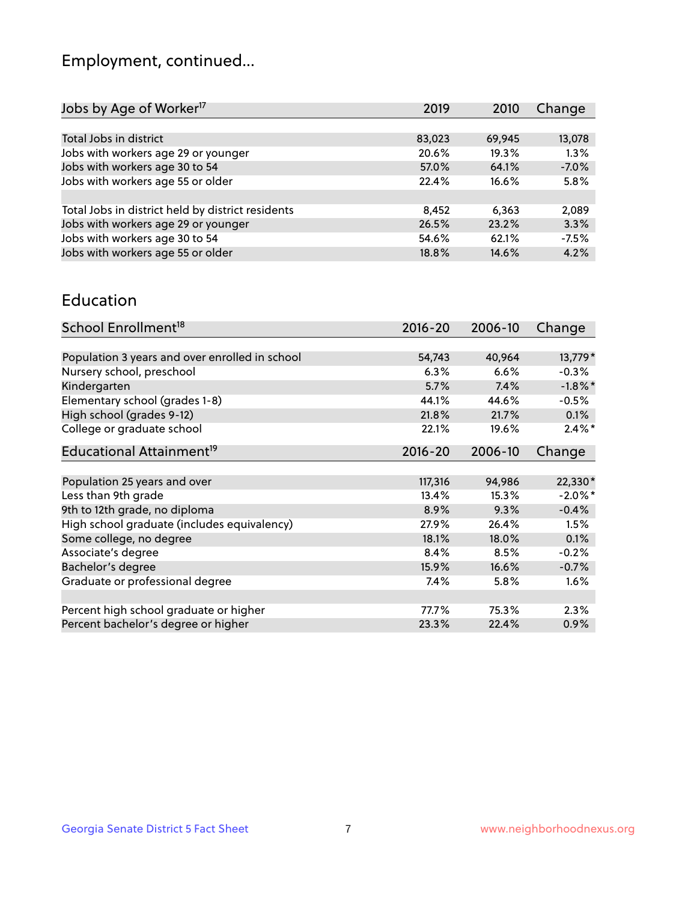## Employment, continued...

| 2019   | 2010   | Change  |
|--------|--------|---------|
|        |        |         |
| 83,023 | 69,945 | 13,078  |
| 20.6%  | 19.3%  | 1.3%    |
| 57.0%  | 64.1%  | $-7.0%$ |
| 22.4%  | 16.6%  | 5.8%    |
|        |        |         |
| 8,452  | 6.363  | 2,089   |
| 26.5%  | 23.2%  | 3.3%    |
| 54.6%  | 62.1%  | $-7.5%$ |
| 18.8%  | 14.6%  | 4.2%    |
|        |        |         |

#### Education

| School Enrollment <sup>18</sup>                | $2016 - 20$ | 2006-10 | Change     |
|------------------------------------------------|-------------|---------|------------|
|                                                |             |         |            |
| Population 3 years and over enrolled in school | 54,743      | 40,964  | 13,779*    |
| Nursery school, preschool                      | 6.3%        | 6.6%    | $-0.3%$    |
| Kindergarten                                   | 5.7%        | 7.4%    | $-1.8\%$ * |
| Elementary school (grades 1-8)                 | 44.1%       | 44.6%   | $-0.5%$    |
| High school (grades 9-12)                      | 21.8%       | 21.7%   | $0.1\%$    |
| College or graduate school                     | 22.1%       | 19.6%   | $2.4\%$ *  |
| Educational Attainment <sup>19</sup>           | $2016 - 20$ | 2006-10 | Change     |
|                                                |             |         |            |
| Population 25 years and over                   | 117,316     | 94,986  | 22,330*    |
| Less than 9th grade                            | 13.4%       | 15.3%   | $-2.0\%$ * |
| 9th to 12th grade, no diploma                  | 8.9%        | 9.3%    | $-0.4%$    |
| High school graduate (includes equivalency)    | 27.9%       | 26.4%   | 1.5%       |
| Some college, no degree                        | 18.1%       | 18.0%   | 0.1%       |
| Associate's degree                             | 8.4%        | 8.5%    | $-0.2%$    |
| Bachelor's degree                              | 15.9%       | 16.6%   | $-0.7%$    |
| Graduate or professional degree                | 7.4%        | 5.8%    | $1.6\%$    |
|                                                |             |         |            |
| Percent high school graduate or higher         | 77.7%       | 75.3%   | 2.3%       |
| Percent bachelor's degree or higher            | 23.3%       | 22.4%   | 0.9%       |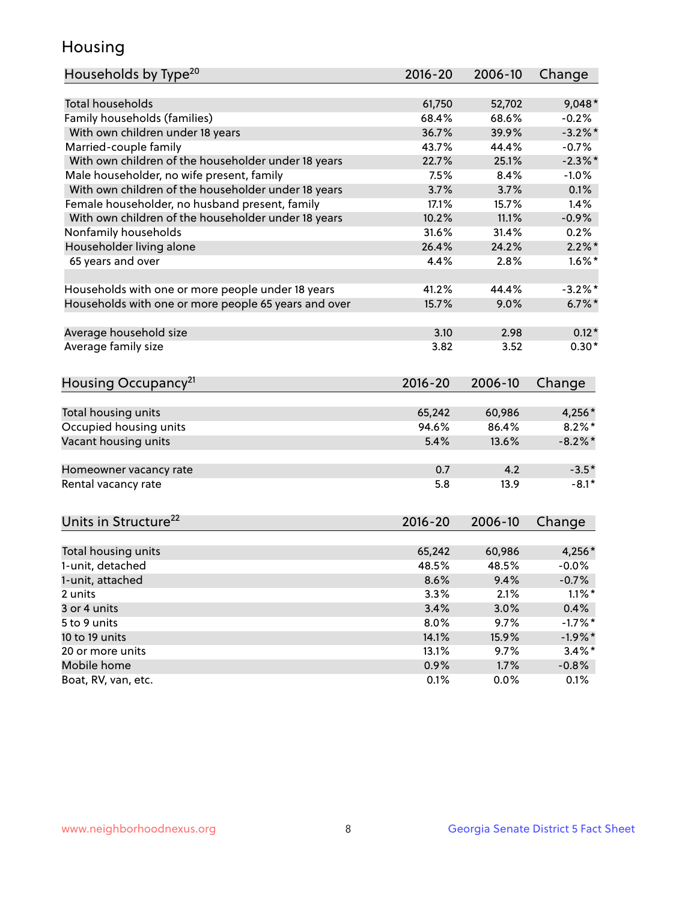## Housing

| Households by Type <sup>20</sup>                     | 2016-20         | 2006-10         | Change            |
|------------------------------------------------------|-----------------|-----------------|-------------------|
|                                                      |                 |                 |                   |
| <b>Total households</b>                              | 61,750          | 52,702          | $9,048*$          |
| Family households (families)                         | 68.4%           | 68.6%           | $-0.2%$           |
| With own children under 18 years                     | 36.7%           | 39.9%           | $-3.2\%$ *        |
| Married-couple family                                | 43.7%           | 44.4%           | $-0.7%$           |
| With own children of the householder under 18 years  | 22.7%           | 25.1%           | $-2.3\%$ *        |
| Male householder, no wife present, family            | 7.5%            | 8.4%            | $-1.0%$           |
| With own children of the householder under 18 years  | 3.7%            | 3.7%            | 0.1%              |
| Female householder, no husband present, family       | 17.1%           | 15.7%           | 1.4%              |
| With own children of the householder under 18 years  | 10.2%           | 11.1%           | $-0.9%$           |
| Nonfamily households                                 | 31.6%           | 31.4%           | 0.2%              |
| Householder living alone                             | 26.4%           | 24.2%           | $2.2\%$ *         |
| 65 years and over                                    | 4.4%            | 2.8%            | $1.6\%$ *         |
|                                                      |                 |                 |                   |
| Households with one or more people under 18 years    | 41.2%           | 44.4%           | $-3.2\%$ *        |
| Households with one or more people 65 years and over | 15.7%           | 9.0%            | $6.7\%$ *         |
| Average household size                               | 3.10            | 2.98            | $0.12*$           |
| Average family size                                  | 3.82            | 3.52            | $0.30*$           |
|                                                      |                 |                 |                   |
| Housing Occupancy <sup>21</sup>                      | 2016-20         | 2006-10         | Change            |
| Total housing units                                  | 65,242          | 60,986          | 4,256*            |
| Occupied housing units                               | 94.6%           | 86.4%           | $8.2\%$ *         |
| Vacant housing units                                 | 5.4%            | 13.6%           | $-8.2\%$ *        |
|                                                      |                 |                 |                   |
| Homeowner vacancy rate                               | 0.7             | 4.2             | $-3.5*$           |
| Rental vacancy rate                                  | 5.8             | 13.9            | $-8.1*$           |
|                                                      |                 |                 |                   |
| Units in Structure <sup>22</sup>                     | $2016 - 20$     | 2006-10         | Change            |
|                                                      |                 |                 |                   |
| Total housing units<br>1-unit, detached              | 65,242<br>48.5% | 60,986<br>48.5% | 4,256*<br>$-0.0%$ |
|                                                      |                 |                 |                   |
| 1-unit, attached                                     | 8.6%            | 9.4%            | $-0.7%$           |
| 2 units                                              | 3.3%            | 2.1%            | $1.1\%$ *         |
| 3 or 4 units                                         | 3.4%            | 3.0%            | 0.4%              |
| 5 to 9 units                                         | 8.0%            | 9.7%            | $-1.7%$ *         |
| 10 to 19 units                                       | 14.1%           | 15.9%           | $-1.9%$ *         |
| 20 or more units                                     | 13.1%           | 9.7%            | $3.4\%$ *         |
| Mobile home                                          | 0.9%            | 1.7%            | $-0.8\%$          |
| Boat, RV, van, etc.                                  | 0.1%            | 0.0%            | 0.1%              |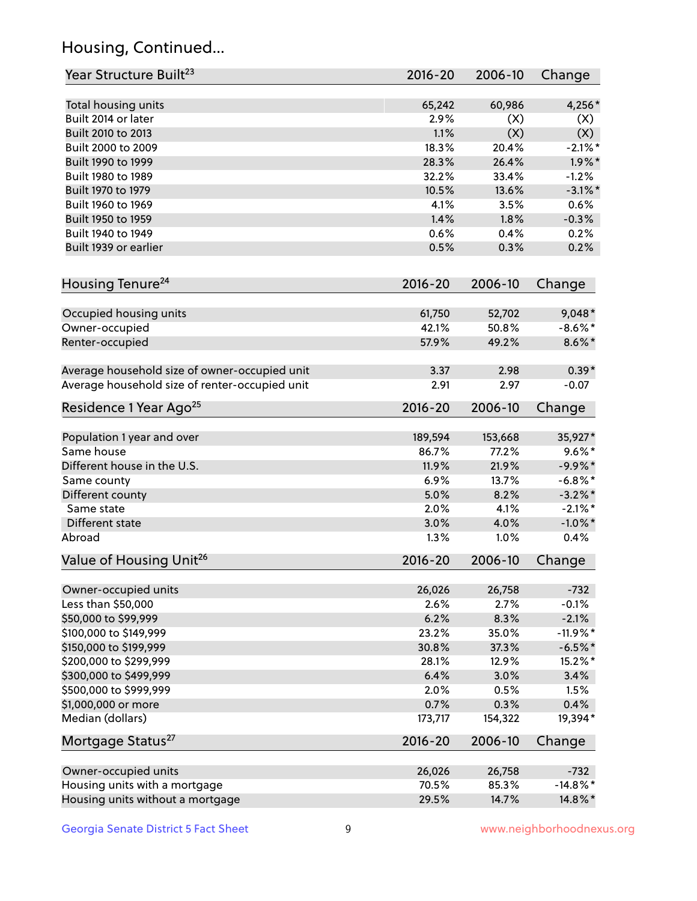## Housing, Continued...

| Year Structure Built <sup>23</sup>             | 2016-20     | 2006-10 | Change      |
|------------------------------------------------|-------------|---------|-------------|
| Total housing units                            | 65,242      | 60,986  | 4,256*      |
| Built 2014 or later                            | 2.9%        | (X)     | (X)         |
| Built 2010 to 2013                             | 1.1%        | (X)     | (X)         |
| Built 2000 to 2009                             | 18.3%       | 20.4%   | $-2.1\%$ *  |
| Built 1990 to 1999                             | 28.3%       | 26.4%   | $1.9\%$ *   |
| Built 1980 to 1989                             | 32.2%       | 33.4%   | $-1.2%$     |
| Built 1970 to 1979                             | 10.5%       | 13.6%   | $-3.1\%$ *  |
| Built 1960 to 1969                             | 4.1%        | 3.5%    | 0.6%        |
| Built 1950 to 1959                             | 1.4%        | 1.8%    | $-0.3%$     |
| Built 1940 to 1949                             | 0.6%        | 0.4%    | 0.2%        |
| Built 1939 or earlier                          | 0.5%        | 0.3%    | 0.2%        |
| Housing Tenure <sup>24</sup>                   | $2016 - 20$ | 2006-10 | Change      |
| Occupied housing units                         | 61,750      | 52,702  | $9,048*$    |
| Owner-occupied                                 | 42.1%       | 50.8%   | $-8.6\%$ *  |
| Renter-occupied                                | 57.9%       | 49.2%   | $8.6\% *$   |
| Average household size of owner-occupied unit  | 3.37        | 2.98    | $0.39*$     |
| Average household size of renter-occupied unit | 2.91        | 2.97    | $-0.07$     |
| Residence 1 Year Ago <sup>25</sup>             | 2016-20     | 2006-10 | Change      |
| Population 1 year and over                     | 189,594     | 153,668 | 35,927*     |
| Same house                                     | 86.7%       | 77.2%   | $9.6\%$ *   |
| Different house in the U.S.                    | 11.9%       | 21.9%   | $-9.9%$ *   |
| Same county                                    | 6.9%        | 13.7%   | $-6.8\%$ *  |
| Different county                               | 5.0%        | 8.2%    | $-3.2\%$ *  |
| Same state                                     | 2.0%        | 4.1%    | $-2.1\%$ *  |
| Different state                                | 3.0%        | 4.0%    | $-1.0\%$ *  |
| Abroad                                         | 1.3%        | 1.0%    | 0.4%        |
| Value of Housing Unit <sup>26</sup>            | $2016 - 20$ | 2006-10 | Change      |
| Owner-occupied units                           | 26,026      | 26,758  | $-732$      |
| Less than \$50,000                             | 2.6%        | 2.7%    | $-0.1%$     |
| \$50,000 to \$99,999                           | 6.2%        | 8.3%    | $-2.1%$     |
| \$100,000 to \$149,999                         | 23.2%       | 35.0%   | $-11.9%$ *  |
| \$150,000 to \$199,999                         | 30.8%       | 37.3%   | $-6.5%$ *   |
| \$200,000 to \$299,999                         | 28.1%       | 12.9%   | 15.2%*      |
| \$300,000 to \$499,999                         | 6.4%        | 3.0%    | 3.4%        |
| \$500,000 to \$999,999                         | 2.0%        | 0.5%    | 1.5%        |
| \$1,000,000 or more                            | 0.7%        | 0.3%    | 0.4%        |
| Median (dollars)                               | 173,717     | 154,322 | 19,394*     |
| Mortgage Status <sup>27</sup>                  | $2016 - 20$ | 2006-10 | Change      |
| Owner-occupied units                           | 26,026      | 26,758  | $-732$      |
| Housing units with a mortgage                  | 70.5%       | 85.3%   | $-14.8\%$ * |
| Housing units without a mortgage               | 29.5%       | 14.7%   | 14.8%*      |
|                                                |             |         |             |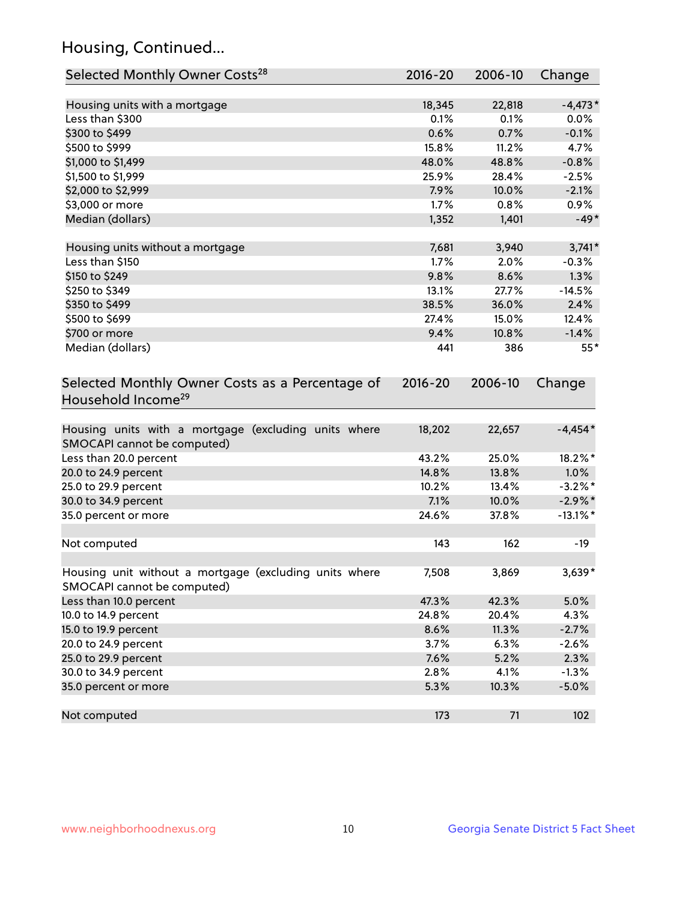## Housing, Continued...

| Selected Monthly Owner Costs <sup>28</sup>                                            | 2016-20 | 2006-10 | Change      |
|---------------------------------------------------------------------------------------|---------|---------|-------------|
| Housing units with a mortgage                                                         | 18,345  | 22,818  | $-4,473*$   |
| Less than \$300                                                                       | 0.1%    | 0.1%    | 0.0%        |
| \$300 to \$499                                                                        | 0.6%    | 0.7%    | $-0.1%$     |
| \$500 to \$999                                                                        | 15.8%   | 11.2%   | 4.7%        |
| \$1,000 to \$1,499                                                                    | 48.0%   | 48.8%   | $-0.8%$     |
| \$1,500 to \$1,999                                                                    | 25.9%   | 28.4%   | $-2.5%$     |
| \$2,000 to \$2,999                                                                    | 7.9%    | 10.0%   | $-2.1%$     |
| \$3,000 or more                                                                       | 1.7%    | 0.8%    | 0.9%        |
| Median (dollars)                                                                      | 1,352   | 1,401   | $-49*$      |
| Housing units without a mortgage                                                      | 7,681   | 3,940   | $3,741*$    |
| Less than \$150                                                                       | 1.7%    | 2.0%    | $-0.3%$     |
| \$150 to \$249                                                                        | 9.8%    | 8.6%    | 1.3%        |
| \$250 to \$349                                                                        | 13.1%   | 27.7%   | $-14.5%$    |
| \$350 to \$499                                                                        | 38.5%   | 36.0%   | 2.4%        |
| \$500 to \$699                                                                        | 27.4%   | 15.0%   | 12.4%       |
| \$700 or more                                                                         | 9.4%    | 10.8%   | $-1.4%$     |
| Median (dollars)                                                                      | 441     | 386     | $55*$       |
| Household Income <sup>29</sup>                                                        |         |         |             |
| Housing units with a mortgage (excluding units where<br>SMOCAPI cannot be computed)   | 18,202  | 22,657  | $-4,454*$   |
| Less than 20.0 percent                                                                | 43.2%   | 25.0%   | 18.2%*      |
| 20.0 to 24.9 percent                                                                  | 14.8%   | 13.8%   | 1.0%        |
| 25.0 to 29.9 percent                                                                  | 10.2%   | 13.4%   | $-3.2\%$ *  |
| 30.0 to 34.9 percent                                                                  | 7.1%    | 10.0%   | $-2.9\%$ *  |
| 35.0 percent or more                                                                  | 24.6%   | 37.8%   | $-13.1\%$ * |
| Not computed                                                                          | 143     | 162     | $-19$       |
| Housing unit without a mortgage (excluding units where<br>SMOCAPI cannot be computed) | 7,508   | 3,869   | 3,639*      |
| Less than 10.0 percent                                                                | 47.3%   | 42.3%   | 5.0%        |
| 10.0 to 14.9 percent                                                                  | 24.8%   | 20.4%   | 4.3%        |
| 15.0 to 19.9 percent                                                                  | 8.6%    | 11.3%   | $-2.7%$     |
| 20.0 to 24.9 percent                                                                  | 3.7%    | 6.3%    | $-2.6%$     |
| 25.0 to 29.9 percent                                                                  | 7.6%    | 5.2%    | 2.3%        |
| 30.0 to 34.9 percent                                                                  | 2.8%    | 4.1%    | $-1.3%$     |
| 35.0 percent or more                                                                  | 5.3%    | 10.3%   | $-5.0%$     |
| Not computed                                                                          | 173     | 71      | 102         |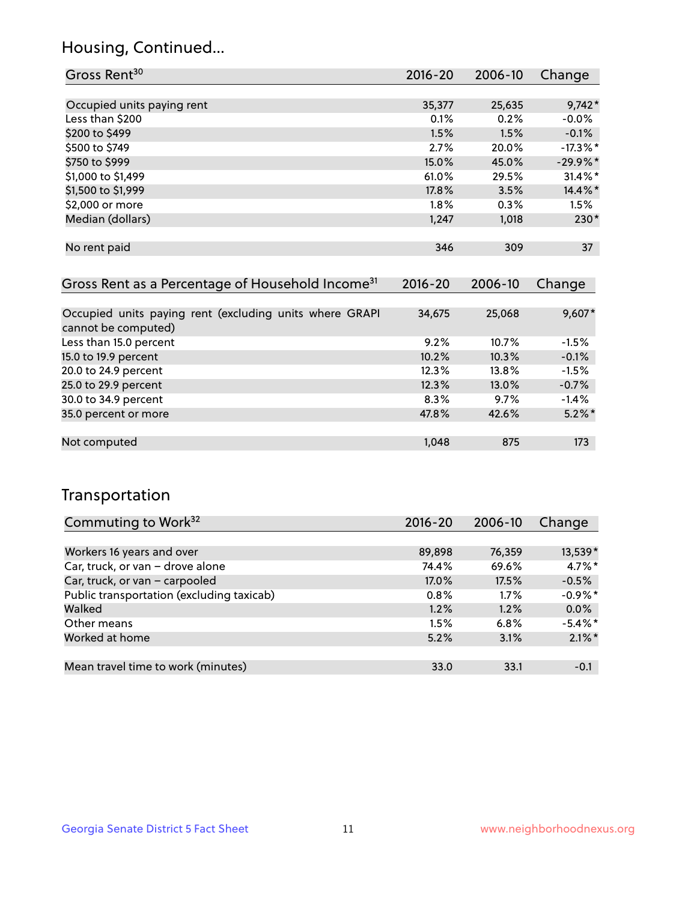## Housing, Continued...

| Gross Rent <sup>30</sup>   | 2016-20 | 2006-10 | Change      |
|----------------------------|---------|---------|-------------|
|                            |         |         |             |
| Occupied units paying rent | 35,377  | 25,635  | $9,742*$    |
| Less than \$200            | 0.1%    | 0.2%    | $-0.0%$     |
| \$200 to \$499             | 1.5%    | 1.5%    | $-0.1%$     |
| \$500 to \$749             | 2.7%    | 20.0%   | $-17.3\%$ * |
| \$750 to \$999             | 15.0%   | 45.0%   | $-29.9%$ *  |
| \$1,000 to \$1,499         | 61.0%   | 29.5%   | $31.4\%$ *  |
| \$1,500 to \$1,999         | 17.8%   | 3.5%    | 14.4%*      |
| \$2,000 or more            | $1.8\%$ | 0.3%    | 1.5%        |
| Median (dollars)           | 1,247   | 1,018   | $230*$      |
|                            |         |         |             |
| No rent paid               | 346     | 309     | 37          |

| Gross Rent as a Percentage of Household Income <sup>31</sup>                   | $2016 - 20$ | 2006-10 | Change    |
|--------------------------------------------------------------------------------|-------------|---------|-----------|
|                                                                                |             |         |           |
| Occupied units paying rent (excluding units where GRAPI<br>cannot be computed) | 34,675      | 25,068  | $9,607*$  |
| Less than 15.0 percent                                                         | 9.2%        | 10.7%   | $-1.5%$   |
| 15.0 to 19.9 percent                                                           | 10.2%       | 10.3%   | $-0.1%$   |
| 20.0 to 24.9 percent                                                           | 12.3%       | 13.8%   | $-1.5%$   |
| 25.0 to 29.9 percent                                                           | 12.3%       | 13.0%   | $-0.7%$   |
| 30.0 to 34.9 percent                                                           | 8.3%        | 9.7%    | $-1.4%$   |
| 35.0 percent or more                                                           | 47.8%       | 42.6%   | $5.2\%$ * |
|                                                                                |             |         |           |
| Not computed                                                                   | 1,048       | 875     | 173       |

## Transportation

| Commuting to Work <sup>32</sup>           | 2016-20 | 2006-10 | Change     |
|-------------------------------------------|---------|---------|------------|
|                                           |         |         |            |
| Workers 16 years and over                 | 89,898  | 76,359  | 13,539*    |
| Car, truck, or van - drove alone          | 74.4%   | 69.6%   | $4.7\%$ *  |
| Car, truck, or van - carpooled            | 17.0%   | 17.5%   | $-0.5%$    |
| Public transportation (excluding taxicab) | 0.8%    | $1.7\%$ | $-0.9%$ *  |
| Walked                                    | 1.2%    | 1.2%    | 0.0%       |
| Other means                               | 1.5%    | 6.8%    | $-5.4\%$ * |
| Worked at home                            | 5.2%    | 3.1%    | $2.1\%$ *  |
|                                           |         |         |            |
| Mean travel time to work (minutes)        | 33.0    | 33.1    | $-0.1$     |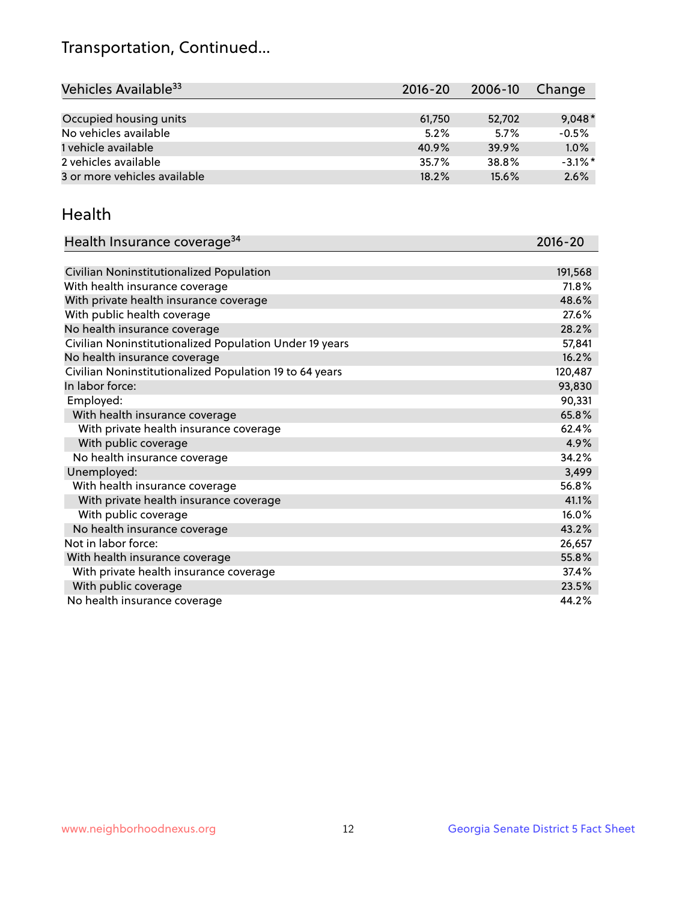## Transportation, Continued...

| Vehicles Available <sup>33</sup> | $2016 - 20$ | $2006 - 10$ | Change     |
|----------------------------------|-------------|-------------|------------|
|                                  |             |             |            |
| Occupied housing units           | 61,750      | 52,702      | $9,048*$   |
| No vehicles available            | 5.2%        | 5.7%        | $-0.5%$    |
| 1 vehicle available              | 40.9%       | 39.9%       | 1.0%       |
| 2 vehicles available             | 35.7%       | 38.8%       | $-3.1\%$ * |
| 3 or more vehicles available     | 18.2%       | 15.6%       | 2.6%       |

#### Health

| Health Insurance coverage <sup>34</sup>                 | 2016-20 |
|---------------------------------------------------------|---------|
|                                                         |         |
| Civilian Noninstitutionalized Population                | 191,568 |
| With health insurance coverage                          | 71.8%   |
| With private health insurance coverage                  | 48.6%   |
| With public health coverage                             | 27.6%   |
| No health insurance coverage                            | 28.2%   |
| Civilian Noninstitutionalized Population Under 19 years | 57,841  |
| No health insurance coverage                            | 16.2%   |
| Civilian Noninstitutionalized Population 19 to 64 years | 120,487 |
| In labor force:                                         | 93,830  |
| Employed:                                               | 90,331  |
| With health insurance coverage                          | 65.8%   |
| With private health insurance coverage                  | 62.4%   |
| With public coverage                                    | 4.9%    |
| No health insurance coverage                            | 34.2%   |
| Unemployed:                                             | 3,499   |
| With health insurance coverage                          | 56.8%   |
| With private health insurance coverage                  | 41.1%   |
| With public coverage                                    | 16.0%   |
| No health insurance coverage                            | 43.2%   |
| Not in labor force:                                     | 26,657  |
| With health insurance coverage                          | 55.8%   |
| With private health insurance coverage                  | 37.4%   |
| With public coverage                                    | 23.5%   |
| No health insurance coverage                            | 44.2%   |